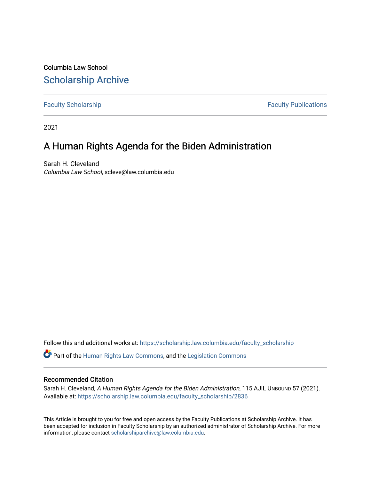Columbia Law School [Scholarship Archive](https://scholarship.law.columbia.edu/) 

[Faculty Scholarship](https://scholarship.law.columbia.edu/faculty_scholarship) **Faculty Scholarship Faculty Publications** 

2021

# A Human Rights Agenda for the Biden Administration

Sarah H. Cleveland Columbia Law School, scleve@law.columbia.edu

Follow this and additional works at: [https://scholarship.law.columbia.edu/faculty\\_scholarship](https://scholarship.law.columbia.edu/faculty_scholarship?utm_source=scholarship.law.columbia.edu%2Ffaculty_scholarship%2F2836&utm_medium=PDF&utm_campaign=PDFCoverPages)

Part of the [Human Rights Law Commons,](http://network.bepress.com/hgg/discipline/847?utm_source=scholarship.law.columbia.edu%2Ffaculty_scholarship%2F2836&utm_medium=PDF&utm_campaign=PDFCoverPages) and the [Legislation Commons](http://network.bepress.com/hgg/discipline/859?utm_source=scholarship.law.columbia.edu%2Ffaculty_scholarship%2F2836&utm_medium=PDF&utm_campaign=PDFCoverPages) 

# Recommended Citation

Sarah H. Cleveland, A Human Rights Agenda for the Biden Administration, 115 AJIL UNBOUND 57 (2021). Available at: [https://scholarship.law.columbia.edu/faculty\\_scholarship/2836](https://scholarship.law.columbia.edu/faculty_scholarship/2836?utm_source=scholarship.law.columbia.edu%2Ffaculty_scholarship%2F2836&utm_medium=PDF&utm_campaign=PDFCoverPages)

This Article is brought to you for free and open access by the Faculty Publications at Scholarship Archive. It has been accepted for inclusion in Faculty Scholarship by an authorized administrator of Scholarship Archive. For more information, please contact [scholarshiparchive@law.columbia.edu.](mailto:scholarshiparchive@law.columbia.edu)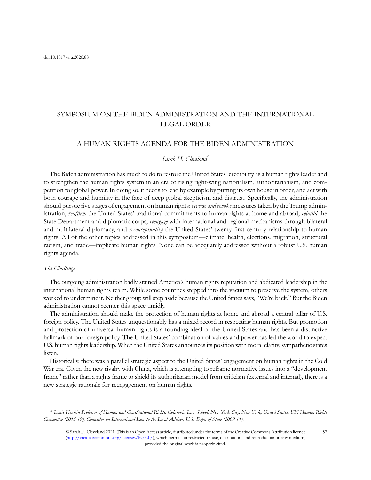# SYMPOSIUM ON THE BIDEN ADMINISTRATION AND THE INTERNATIONAL LEGAL ORDER

## A HUMAN RIGHTS AGENDA FOR THE BIDEN ADMINISTRATION

#### Sarah H. Cleveland\*

The Biden administration has much to do to restore the United States' credibility as a human rights leader and to strengthen the human rights system in an era of rising right-wing nationalism, authoritarianism, and competition for global power. In doing so, it needs to lead by example by putting its own house in order, and act with both courage and humility in the face of deep global skepticism and distrust. Specifically, the administration should pursue five stages of engagement on human rights: reverse and revoke measures taken by the Trump administration, reaffirm the United States' traditional commitments to human rights at home and abroad, rebuild the State Department and diplomatic corps, reengage with international and regional mechanisms through bilateral and multilateral diplomacy, and *reconceptualize* the United States' twenty-first century relationship to human rights. All of the other topics addressed in this symposium—climate, health, elections, migration, structural racism, and trade—implicate human rights. None can be adequately addressed without a robust U.S. human rights agenda.

#### The Challenge

The outgoing administration badly stained America's human rights reputation and abdicated leadership in the international human rights realm. While some countries stepped into the vacuum to preserve the system, others worked to undermine it. Neither group will step aside because the United States says, "We're back." But the Biden administration cannot reenter this space timidly.

The administration should make the protection of human rights at home and abroad a central pillar of U.S. foreign policy. The United States unquestionably has a mixed record in respecting human rights. But promotion and protection of universal human rights is a founding ideal of the United States and has been a distinctive hallmark of our foreign policy. The United States' combination of values and power has led the world to expect U.S. human rights leadership. When the United States announces its position with moral clarity, sympathetic states listen.

Historically, there was a parallel strategic aspect to the United States' engagement on human rights in the Cold War era. Given the new rivalry with China, which is attempting to reframe normative issues into a "development frame" rather than a rights frame to shield its authoritarian model from criticism (external and internal), there is a new strategic rationale for reengagement on human rights.

\* Louis Henkin Professor of Human and Constitutional Rights, Columbia Law School, New York City, New York, United States; UN Human Rights Committee (2015-19); Counselor on International Law to the Legal Adviser, U.S. Dept. of State (2009-11).

© Sarah H. Cleveland 2021. This is an Open Access article, distributed under the terms of the Creative Commons Attribution licence [\(http://creativecommons.org/licenses/by/4.0/](http://creativecommons.org/licenses/by/4.0/)), which permits unrestricted re-use, distribution, and reproduction in any medium, provided the original work is properly cited.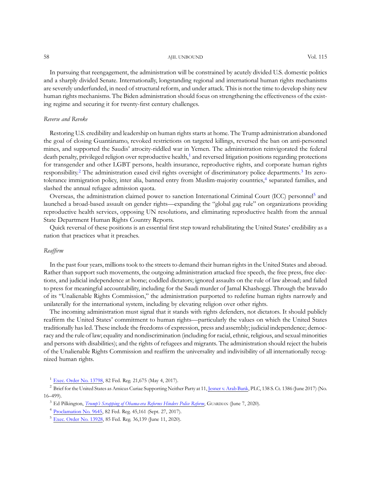58 AJIL UNBOUND AND A SERVICE SERVICE SERVICE SERVICE SERVICE SERVICE SERVICE SERVICE SERVICE SERVICE SERVICE S

In pursuing that reengagement, the administration will be constrained by acutely divided U.S. domestic politics and a sharply divided Senate. Internationally, longstanding regional and international human rights mechanisms are severely underfunded, in need of structural reform, and under attack. This is not the time to develop shiny new human rights mechanisms. The Biden administration should focus on strengthening the effectiveness of the existing regime and securing it for twenty-first century challenges.

### Reverse and Revoke

Restoring U.S. credibility and leadership on human rights starts at home. The Trump administration abandoned the goal of closing Guantánamo, revoked restrictions on targeted killings, reversed the ban on anti-personnel mines, and supported the Saudis' atrocity-riddled war in Yemen. The administration reinvigorated the federal death penalty, privileged religion over reproductive health,<sup>1</sup> and reversed litigation positions regarding protections for transgender and other LGBT persons, health insurance, reproductive rights, and corporate human rights responsibility.<sup>2</sup> The administration eased civil rights oversight of discriminatory police departments.<sup>3</sup> Its zerotolerance immigration policy, inter alia, banned entry from Muslim-majority countries,<sup>4</sup> separated families, and slashed the annual refugee admission quota.

Overseas, the administration claimed power to sanction International Criminal Court (ICC) personnel<sup>5</sup> and launched a broad-based assault on gender rights—expanding the "global gag rule" on organizations providing reproductive health services, opposing UN resolutions, and eliminating reproductive health from the annual State Department Human Rights Country Reports.

Quick reversal of these positions is an essential first step toward rehabilitating the United States' credibility as a nation that practices what it preaches.

#### Reaffirm

In the past four years, millions took to the streets to demand their human rights in the United States and abroad. Rather than support such movements, the outgoing administration attacked free speech, the free press, free elections, and judicial independence at home; coddled dictators; ignored assaults on the rule of law abroad; and failed to press for meaningful accountability, including for the Saudi murder of Jamal Khashoggi. Through the bravado of its "Unalienable Rights Commission," the administration purported to redefine human rights narrowly and unilaterally for the international system, including by elevating religion over other rights.

The incoming administration must signal that it stands with rights defenders, not dictators. It should publicly reaffirm the United States' commitment to human rights—particularly the values on which the United States traditionally has led. These include the freedoms of expression, press and assembly; judicial independence; democracy and the rule of law; equality and nondiscrimination (including for racial, ethnic, religious, and sexual minorities and persons with disabilities); and the rights of refugees and migrants. The administration should reject the hubris of the Unalienable Rights Commission and reaffirm the universality and indivisibility of all internationally recognized human rights.

<sup>1</sup> [Exec. Order No. 13798,](https://www.federalregister.gov/documents/2017/05/09/2017-09574/promoting-free-speech-and-religious-liberty) 82 Fed. Reg. 21,675 (May 4, 2017).

<sup>2</sup> Brief for the United States as Amicus Curiae Supporting Neither Party at 11, [Jesner v. Arab Bank,](https://www.scotusblog.com/case-files/cases/jesner-v-arab-bank-plc/) PLC, 138 S. Ct. 1386 (June 2017) (No. 16–499).

<sup>3</sup> Ed Pilkington, *Trump'[s Scrapping of Obama-era Reforms Hinders Police Reform](https://www.theguardian.com/us-news/2020/jun/07/police-consent-decrees-trump-administration-oversight)*, GUARDIAN (June 7, 2020).

<sup>4</sup> [Proclamation No. 9645,](https://www.federalregister.gov/documents/2017/09/27/2017-20899/enhancing-vetting-capabilities-and-processes-for-detecting-attempted-entry-into-the-united-states-by) 82 Fed. Reg. 45,161 (Sept. 27, 2017).

<sup>5</sup> [Exec. Order No. 13928,](https://www.federalregister.gov/documents/2020/06/15/2020-12953/blocking-property-of-certain-persons-associated-with-the-international-criminal-court) 85 Fed. Reg. 36,139 (June 11, 2020).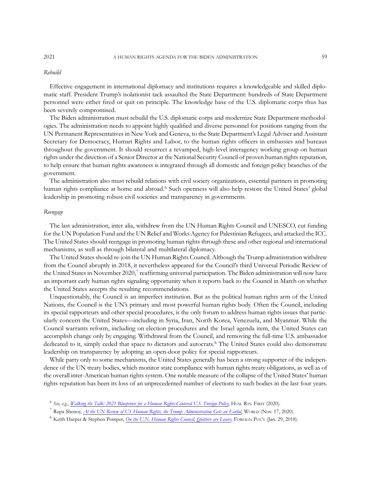#### 2021 A HUMAN RIGHTS AGENDA FOR THE BIDEN ADMINISTRATION 59

#### Rebuild

Effective engagement in international diplomacy and institutions requires a knowledgeable and skilled diplomatic staff. President Trump's isolationist tack assaulted the State Department: hundreds of State Department personnel were either fired or quit on principle. The knowledge base of the U.S. diplomatic corps thus has been severely compromised.

The Biden administration must rebuild the U.S. diplomatic corps and modernize State Department methodologies. The administration needs to appoint highly qualified and diverse personnel for positions ranging from the UN Permanent Representatives in New York and Geneva, to the State Department's Legal Adviser and Assistant Secretary for Democracy, Human Rights and Labor, to the human rights officers in embassies and bureaus throughout the government. It should resurrect a revamped, high-level interagency working group on human rights under the direction of a Senior Director at the National Security Council of proven human rights reputation, to help ensure that human rights awareness is integrated through all domestic and foreign policy branches of the government.

The administration also must rebuild relations with civil society organizations, essential partners in promoting human rights compliance at home and abroad.<sup>6</sup> Such openness will also help restore the United States' global leadership in promoting robust civil societies and transparency in governments.

#### Reengage

The last administration, inter alia, withdrew from the UN Human Rights Council and UNESCO, cut funding for the UN Population Fund and the UN Relief and Works Agency for Palestinian Refugees, and attacked the ICC. The United States should reengage in promoting human rights through these and other regional and international mechanisms, as well as through bilateral and multilateral diplomacy.

The United States should re-join the UN Human Rights Council. Although the Trump administration withdrew from the Council abruptly in 2018, it nevertheless appeared for the Council's third Universal Periodic Review of the United States in November 2020, $\frac{7}{1}$  reaffirming universal participation. The Biden administration will now have an important early human rights signaling opportunity when it reports back to the Council in March on whether the United States accepts the resulting recommendations.

Unquestionably, the Council is an imperfect institution. But as the political human rights arm of the United Nations, the Council is the UN's primary and most powerful human rights body. Often the Council, including its special rapporteurs and other special procedures, is the only forum to address human rights issues that particularly concern the United States—including in Syria, Iran, North Korea, Venezuela, and Myanmar. While the Council warrants reform, including on election procedures and the Israel agenda item, the United States can accomplish change only by engaging. Withdrawal from the Council, and removing the full-time U.S. ambassador dedicated to it, simply ceded that space to dictators and autocrats.<sup>8</sup> The United States could also demonstrate leadership on transparency by adopting an open-door policy for special rapporteurs.

While party only to some mechanisms, the United States generally has been a strong supporter of the independence of the UN treaty bodies, which monitor state compliance with human rights treaty obligations, as well as of the overall inter-American human rights system. One notable measure of the collapse of the United States' human rights reputation has been its loss of an unprecedented number of elections to such bodies in the last four years.

<sup>&</sup>lt;sup>6</sup> See, e.g., [Walking the Talk: 2021 Blueprints for a Human Rights-Centered U.S. Foreign Policy](https://www.humanrightsfirst.org/campaigns/2021-policy-blueprints), HUM. RTS. FIRST (2020).

<sup>&</sup>lt;sup>7</sup> Rupa Shenoy, *[At the UN Review of US Human Rights, the Trump Administration Gets an Earful](https://www.pri.org/stories/2020-11-17/un-review-us-human-rights-trump-administration-gets-earful), WORLD (Nov. 17, 2020).* 

<sup>&</sup>lt;sup>8</sup> Keith Harper & Stephen Pomper, [On the U.N. Human Rights Council, Quitters are Losers](https://foreignpolicy.com/2018/01/29/on-the-u-n-human-rights-council-quitters-are-losers/), FOREIGN POL'Y (Jan. 29, 2018).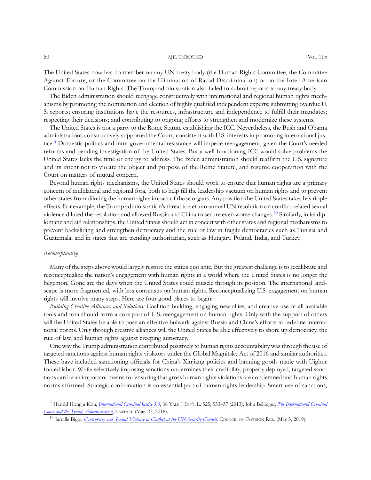#### 60 AJIL UNBOUND AND AND SOL 115

The United States now has no member on any UN treaty body (the Human Rights Committee, the Committee Against Torture, or the Committee on the Elimination of Racial Discrimination) or on the Inter-American Commission on Human Rights. The Trump administration also failed to submit reports to any treaty body.

The Biden administration should reengage constructively with international and regional human rights mechanisms by promoting the nomination and election of highly qualified independent experts; submitting overdue U. S. reports; ensuring institutions have the resources, infrastructure and independence to fulfill their mandates; respecting their decisions; and contributing to ongoing efforts to strengthen and modernize these systems.

The United States is not a party to the Rome Statute establishing the ICC. Nevertheless, the Bush and Obama administrations constructively supported the Court, consistent with U.S. interests in promoting international justice.9 Domestic politics and intra-governmental resistance will impede reengagement, given the Court's needed reforms and pending investigation of the United States. But a well-functioning ICC would solve problems the United States lacks the time or energy to address. The Biden administration should reaffirm the U.S. signature and its intent not to violate the object and purpose of the Rome Statute, and resume cooperation with the Court on matters of mutual concern.

Beyond human rights mechanisms, the United States should work to ensure that human rights are a primary concern of multilateral and regional fora, both to help fill the leadership vacuum on human rights and to prevent other states from diluting the human rights impact of those organs. Any position the United States takes has ripple effects. For example, the Trump administration's threat to veto an annual UN resolution on conflict-related sexual violence diluted the resolution and allowed Russia and China to secure even worse changes.<sup>10</sup> Similarly, in its diplomatic and aid relationships, the United States should act in concert with other states and regional mechanisms to prevent backsliding and strengthen democracy and the rule of law in fragile democracies such as Tunisia and Guatemala, and in states that are trending authoritarian, such as Hungary, Poland, India, and Turkey.

### Reconceptualize

Many of the steps above would largely restore the status quo ante. But the greatest challenge is to recalibrate and reconceptualize the nation's engagement with human rights in a world where the United States is no longer the hegemon. Gone are the days when the United States could muscle through its position. The international landscape is more fragmented, with less consensus on human rights. Reconceptualizing U.S. engagement on human rights will involve many steps. Here are four good places to begin:

Building Creative Alliances and Solutions: Coalition building, engaging new allies, and creative use of all available tools and fora should form a core part of U.S. reengagement on human rights. Only with the support of others will the United States be able to pose an effective bulwark against Russia and China's efforts to redefine international norms. Only through creative alliances will the United States be able effectively to shore up democracy, the rule of law, and human rights against creeping autocracy.

One way the Trump administration contributed positively to human rights accountability was through the use of targeted sanctions against human rights violators under the Global Magnitsky Act of 2016 and similar authorities. These have included sanctioning officials for China's Xinjiang policies and banning goods made with Uighur forced labor. While selectively imposing sanctions undermines their credibility, properly deployed, targeted sanctions can be an important means for ensuring that gross human rights violations are condemned and human rights norms affirmed. Strategic confrontation is an essential part of human rights leadership. Smart use of sanctions,

<sup>&</sup>lt;sup>9</sup> Harold Hongju Koh, *[International Criminal Justice 5.0](https://digitalcommons.law.yale.edu/fss_papers/4847/)*, 38 YALE J. INT'L L. 525, 533-37 (2013); John Bellinger, [The International Criminal](https://www.lawfareblog.com/international-criminal-court-and-trump-administration) [Court and the Trump Administration](https://www.lawfareblog.com/international-criminal-court-and-trump-administration), LAWFARE (Mar. 27, 2018).

<sup>&</sup>lt;sup>10</sup> Jamille Bigio, [Controversy over Sexual Violence in Con](https://www.cfr.org/blog/controversy-over-sexual-violence-conflict-un-security-council)flict at the UN Security Council, COUNCIL ON FOREIGN REL. (May 3, 2019).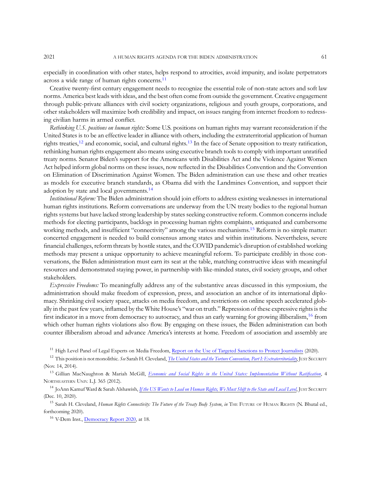especially in coordination with other states, helps respond to atrocities, avoid impunity, and isolate perpetrators across a wide range of human rights concerns.<sup>11</sup>

Creative twenty-first century engagement needs to recognize the essential role of non-state actors and soft law norms. America best leads with ideas, and the best often come from outside the government. Creative engagement through public-private alliances with civil society organizations, religious and youth groups, corporations, and other stakeholders will maximize both credibility and impact, on issues ranging from internet freedom to redressing civilian harms in armed conflict.

Rethinking U.S. positions on human rights: Some U.S. positions on human rights may warrant reconsideration if the United States is to be an effective leader in alliance with others, including the extraterritorial application of human rights treaties,<sup>12</sup> and economic, social, and cultural rights.<sup>13</sup> In the face of Senate opposition to treaty ratification, rethinking human rights engagement also means using executive branch tools to comply with important unratified treaty norms. Senator Biden's support for the Americans with Disabilities Act and the Violence Against Women Act helped inform global norms on these issues, now reflected in the Disabilities Convention and the Convention on Elimination of Discrimination Against Women. The Biden administration can use these and other treaties as models for executive branch standards, as Obama did with the Landmines Convention, and support their adoption by state and local governments.<sup>14</sup>

Institutional Reform: The Biden administration should join efforts to address existing weaknesses in international human rights institutions. Reform conversations are underway from the UN treaty bodies to the regional human rights systems but have lacked strong leadership by states seeking constructive reform. Common concerns include methods for electing participants, backlogs in processing human rights complaints, antiquated and cumbersome working methods, and insufficient "connectivity" among the various mechanisms.<sup>15</sup> Reform is no simple matter: concerted engagement is needed to build consensus among states and within institutions. Nevertheless, severe financial challenges, reform threats by hostile states, and the COVID pandemic's disruption of established working methods may present a unique opportunity to achieve meaningful reform. To participate credibly in those conversations, the Biden administration must earn its seat at the table, matching constructive ideas with meaningful resources and demonstrated staying power, in partnership with like-minded states, civil society groups, and other stakeholders.

Expressive Freedoms: To meaningfully address any of the substantive areas discussed in this symposium, the administration should make freedom of expression, press, and association an anchor of its international diplomacy. Shrinking civil society space, attacks on media freedom, and restrictions on online speech accelerated globally in the past few years, inflamed by the White House's "war on truth." Repression of these expressive rights is the first indicator in a move from democracy to autocracy, and thus an early warning for growing illiberalism,<sup>16</sup> from which other human rights violations also flow. By engaging on these issues, the Biden administration can both counter illiberalism abroad and advance America's interests at home. Freedom of association and assembly are

<sup>11</sup> High Level Panel of Legal Experts on Media Freedom, [Report on the Use of Targeted Sanctions to Protect Journalists](https://www.ibanet.org/Media-Freedom-Sanctions-report-launch-2020.aspx) (2020).

<sup>12</sup> This position is not monolithic. See Sarah H. Cleveland, *The United States and the Torture Convention*, Part I: Extraterritoriality, JUST SECURITY (Nov. 14, 2014).

<sup>13</sup> Gillian MacNaughton & Mariah McGill, [Economic and Social Rights in the United States: Implementation Without Rati](https://www.corteidh.or.cr/tablas/r30417.pdf)fication, 4 NORTHEASTERN UNIV. L.J. 365 (2012).

<sup>14</sup> JoAnn Kamuf Ward & Sarah Alshawish, *[If the US Wants to Lead on Human Rights, We Must Shift to the State and Local Level](https://www.justsecurity.org/73759/if-the-us-wants-to-lead-on-human-rights-we-must-shift-to-the-state-and-local-level/)*, JUST SECURITY (Dec. 10, 2020).

<sup>15</sup> Sarah H. Cleveland, *Human Rights Connectivity: The Future of the Treaty Body System, in* THE FUTURE OF HUMAN RIGHTS (N. Bhutal ed., forthcoming 2020).

<sup>16</sup> V-Dem Inst., [Democracy Report 2020](https://www.v-dem.net/media/filer_public/de/39/de39af54-0bc5-4421-89ae-fb20dcc53dba/democracy_report.pdf), at 18.